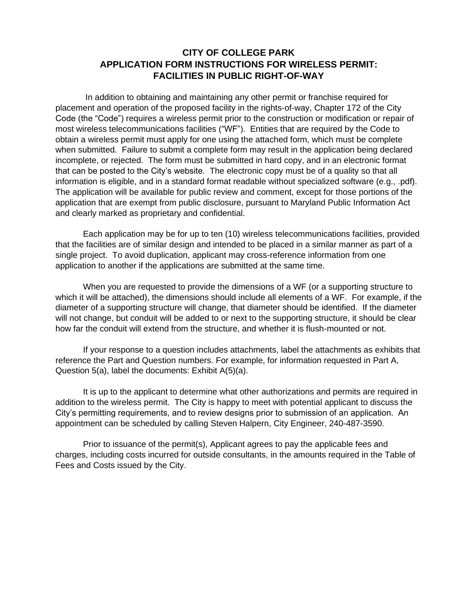## **CITY OF COLLEGE PARK APPLICATION FORM INSTRUCTIONS FOR WIRELESS PERMIT: FACILITIES IN PUBLIC RIGHT-OF-WAY**

In addition to obtaining and maintaining any other permit or franchise required for placement and operation of the proposed facility in the rights-of-way, Chapter 172 of the City Code (the "Code") requires a wireless permit prior to the construction or modification or repair of most wireless telecommunications facilities ("WF"). Entities that are required by the Code to obtain a wireless permit must apply for one using the attached form, which must be complete when submitted. Failure to submit a complete form may result in the application being declared incomplete, or rejected. The form must be submitted in hard copy, and in an electronic format that can be posted to the City's website. The electronic copy must be of a quality so that all information is eligible, and in a standard format readable without specialized software (e.g., .pdf). The application will be available for public review and comment, except for those portions of the application that are exempt from public disclosure, pursuant to Maryland Public Information Act and clearly marked as proprietary and confidential.

Each application may be for up to ten (10) wireless telecommunications facilities, provided that the facilities are of similar design and intended to be placed in a similar manner as part of a single project. To avoid duplication, applicant may cross-reference information from one application to another if the applications are submitted at the same time.

When you are requested to provide the dimensions of a WF (or a supporting structure to which it will be attached), the dimensions should include all elements of a WF. For example, if the diameter of a supporting structure will change, that diameter should be identified. If the diameter will not change, but conduit will be added to or next to the supporting structure, it should be clear how far the conduit will extend from the structure, and whether it is flush-mounted or not.

If your response to a question includes attachments, label the attachments as exhibits that reference the Part and Question numbers. For example, for information requested in Part A, Question 5(a), label the documents: Exhibit A(5)(a).

It is up to the applicant to determine what other authorizations and permits are required in addition to the wireless permit. The City is happy to meet with potential applicant to discuss the City's permitting requirements, and to review designs prior to submission of an application. An appointment can be scheduled by calling Steven Halpern, City Engineer, 240-487-3590.

Prior to issuance of the permit(s), Applicant agrees to pay the applicable fees and charges, including costs incurred for outside consultants, in the amounts required in the Table of Fees and Costs issued by the City.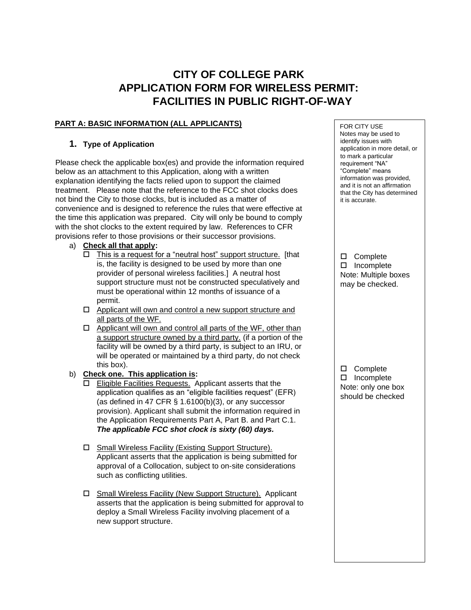# **CITY OF COLLEGE PARK APPLICATION FORM FOR WIRELESS PERMIT: FACILITIES IN PUBLIC RIGHT-OF-WAY**

#### **PART A: BASIC INFORMATION (ALL APPLICANTS)**

#### **1. Type of Application**

Please check the applicable box(es) and provide the information required below as an attachment to this Application, along with a written explanation identifying the facts relied upon to support the claimed treatment. Please note that the reference to the FCC shot clocks does not bind the City to those clocks, but is included as a matter of convenience and is designed to reference the rules that were effective at the time this application was prepared. City will only be bound to comply with the shot clocks to the extent required by law. References to CFR provisions refer to those provisions or their successor provisions.

#### a) **Check all that apply:**

- $\Box$  This is a request for a "neutral host" support structure. [that is, the facility is designed to be used by more than one provider of personal wireless facilities.] A neutral host support structure must not be constructed speculatively and must be operational within 12 months of issuance of a permit.
- $\Box$  Applicant will own and control a new support structure and all parts of the WF.
- $\Box$  Applicant will own and control all parts of the WF, other than a support structure owned by a third party. (if a portion of the facility will be owned by a third party, is subject to an IRU, or will be operated or maintained by a third party, do not check this box).
- b) **Check one. This application is:**
	- □ Eligible Facilities Requests. Applicant asserts that the application qualifies as an "eligible facilities request" (EFR) (as defined in 47 CFR  $\S$  1.6100(b)(3), or any successor provision). Applicant shall submit the information required in the Application Requirements Part A, Part B. and Part C.1. *The applicable FCC shot clock is sixty (60) days.*
	- □ Small Wireless Facility (Existing Support Structure). Applicant asserts that the application is being submitted for approval of a Collocation, subject to on-site considerations such as conflicting utilities.
	- □ Small Wireless Facility (New Support Structure). Applicant asserts that the application is being submitted for approval to deploy a Small Wireless Facility involving placement of a new support structure.

FOR CITY USE Notes may be used to identify issues with application in more detail, or to mark a particular requirement "NA" "Complete" means information was provided, and it is not an affirmation that the City has determined it is accurate.

□ Complete □ Incomplete Note: Multiple boxes may be checked.

□ Complete □ Incomplete Note: only one box should be checked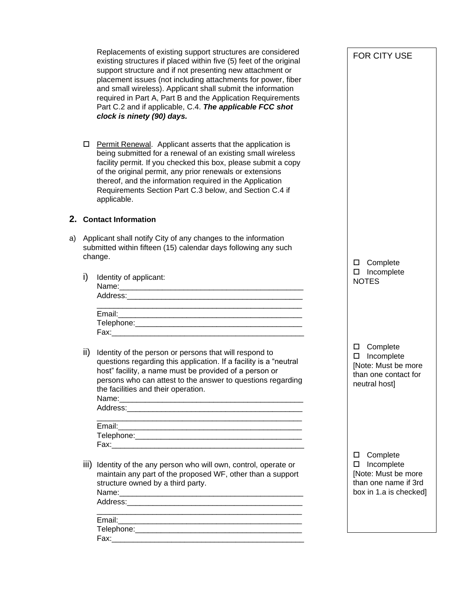Replacements of existing support structures are considered existing structures if placed within five (5) feet of the original support structure and if not presenting new attachment or placement issues (not including attachments for power, fiber and small wireless). Applicant shall submit the information required in Part A, Part B and the Application Requirements Part C.2 and if applicable, C.4. *The applicable FCC shot clock is ninety (90) days.* 

 $\Box$  Permit Renewal. Applicant asserts that the application is being submitted for a renewal of an existing small wireless facility permit. If you checked this box, please submit a copy of the original permit, any prior renewals or extensions thereof, and the information required in the Application Requirements Section Part C.3 below, and Section C.4 if applicable.

#### **2. Contact Information**

- a) Applicant shall notify City of any changes to the information submitted within fifteen (15) calendar days following any such change.
	- i) Identity of applicant:

| Address:________________ |  |  |  |  |  |
|--------------------------|--|--|--|--|--|
|                          |  |  |  |  |  |
|                          |  |  |  |  |  |
|                          |  |  |  |  |  |
| Fax:                     |  |  |  |  |  |

ii) Identity of the person or persons that will respond to questions regarding this application. If a facility is a "neutral host" facility, a name must be provided of a person or persons who can attest to the answer to questions regarding the facilities and their operation.

| Name:__________________                 |  |  |  |  |
|-----------------------------------------|--|--|--|--|
| Address:_______________________________ |  |  |  |  |
|                                         |  |  |  |  |
| Email:__________________________        |  |  |  |  |
| Telephone:__________________            |  |  |  |  |
| Fax:                                    |  |  |  |  |

iii) Identity of the any person who will own, control, operate or maintain any part of the proposed WF, other than a support structure owned by a third party. Name:

Address:

| Email:     |  |
|------------|--|
| Telephone: |  |
| Fax:       |  |

FOR CITY USE

□ Complete □ Incomplete **NOTES** 

□ Complete □ Incomplete [Note: Must be more than one contact for neutral host]

□ Complete □ Incomplete [Note: Must be more than one name if 3rd box in 1.a is checked]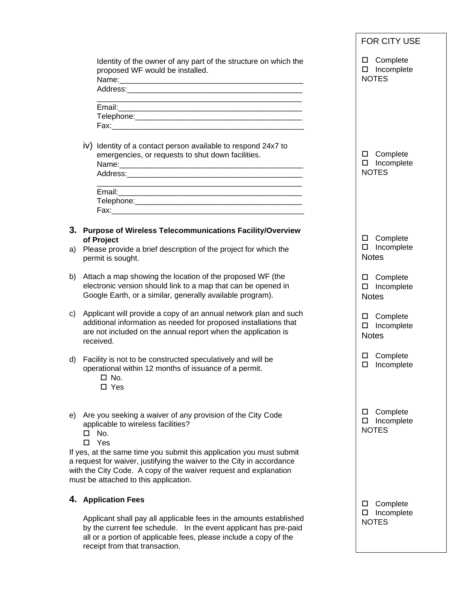|    |                                                                                                                                                                                                                                               |                                                                                                                                                                                                                                                            | FOR CITY USE                                               |  |
|----|-----------------------------------------------------------------------------------------------------------------------------------------------------------------------------------------------------------------------------------------------|------------------------------------------------------------------------------------------------------------------------------------------------------------------------------------------------------------------------------------------------------------|------------------------------------------------------------|--|
|    |                                                                                                                                                                                                                                               | Identity of the owner of any part of the structure on which the<br>proposed WF would be installed.                                                                                                                                                         | Complete<br>Incomplete<br><b>NOTES</b>                     |  |
|    |                                                                                                                                                                                                                                               |                                                                                                                                                                                                                                                            |                                                            |  |
|    |                                                                                                                                                                                                                                               | iv) Identity of a contact person available to respond 24x7 to<br>emergencies, or requests to shut down facilities.                                                                                                                                         | □ Complete<br>Incomplete<br>□<br><b>NOTES</b>              |  |
|    |                                                                                                                                                                                                                                               |                                                                                                                                                                                                                                                            |                                                            |  |
|    |                                                                                                                                                                                                                                               | 3. Purpose of Wireless Telecommunications Facility/Overview                                                                                                                                                                                                | □ Complete                                                 |  |
| a) |                                                                                                                                                                                                                                               | of Project<br>Please provide a brief description of the project for which the<br>permit is sought.                                                                                                                                                         | $\square$ Incomplete<br><b>Notes</b>                       |  |
| b) |                                                                                                                                                                                                                                               | Attach a map showing the location of the proposed WF (the<br>electronic version should link to a map that can be opened in<br>Google Earth, or a similar, generally available program).                                                                    | □ Complete<br>Incomplete<br>$\Box$<br><b>Notes</b>         |  |
| C) |                                                                                                                                                                                                                                               | Applicant will provide a copy of an annual network plan and such<br>additional information as needed for proposed installations that<br>are not included on the annual report when the application is<br>received.                                         | Complete<br>$\Box$<br>$\Box$<br>Incomplete<br><b>Notes</b> |  |
| d) |                                                                                                                                                                                                                                               | Facility is not to be constructed speculatively and will be<br>operational within 12 months of issuance of a permit.<br>$\Box$ No.<br>$\Box$ Yes                                                                                                           | Complete<br>□<br>Incomplete<br>□                           |  |
|    | □<br>П.                                                                                                                                                                                                                                       | e) Are you seeking a waiver of any provision of the City Code<br>applicable to wireless facilities?<br>No.<br>Yes                                                                                                                                          | Complete<br>□<br>Incomplete<br>□<br><b>NOTES</b>           |  |
|    |                                                                                                                                                                                                                                               | If yes, at the same time you submit this application you must submit<br>a request for waiver, justifying the waiver to the City in accordance<br>with the City Code. A copy of the waiver request and explanation<br>must be attached to this application. |                                                            |  |
|    |                                                                                                                                                                                                                                               | 4. Application Fees                                                                                                                                                                                                                                        | Complete<br>□                                              |  |
|    | Applicant shall pay all applicable fees in the amounts established<br>by the current fee schedule. In the event applicant has pre-paid<br>all or a portion of applicable fees, please include a copy of the<br>receipt from that transaction. |                                                                                                                                                                                                                                                            | Incomplete<br>ப<br><b>NOTES</b>                            |  |
|    |                                                                                                                                                                                                                                               |                                                                                                                                                                                                                                                            |                                                            |  |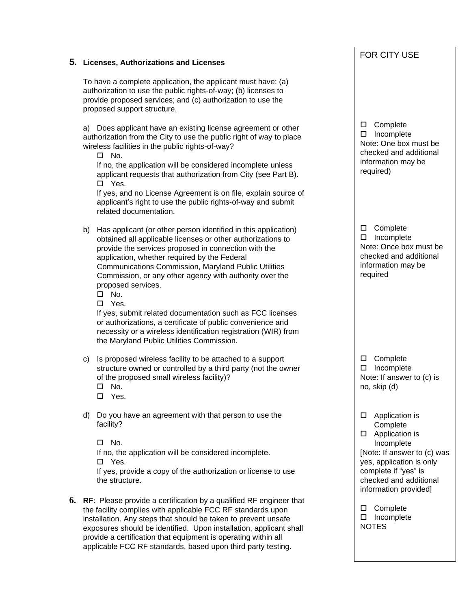#### **5. Licenses, Authorizations and Licenses**

To have a complete application, the applicant must have: (a) authorization to use the public rights-of-way; (b) licenses to provide proposed services; and (c) authorization to use the proposed support structure.

a) Does applicant have an existing license agreement or other authorization from the City to use the public right of way to place wireless facilities in the public rights-of-way?

 $\square$  No.

If no, the application will be considered incomplete unless applicant requests that authorization from City (see Part B). Yes.

If yes, and no License Agreement is on file, explain source of applicant's right to use the public rights-of-way and submit related documentation.

- b) Has applicant (or other person identified in this application) obtained all applicable licenses or other authorizations to provide the services proposed in connection with the application, whether required by the Federal Communications Commission, Maryland Public Utilities Commission, or any other agency with authority over the proposed services.
	- $\square$  No.

Yes.

If yes, submit related documentation such as FCC licenses or authorizations, a certificate of public convenience and necessity or a wireless identification registration (WIR) from the Maryland Public Utilities Commission.

c) Is proposed wireless facility to be attached to a support structure owned or controlled by a third party (not the owner of the proposed small wireless facility)?

- $\square$  No.
- Yes.
- d) Do you have an agreement with that person to use the facility?

 $\Box$  No. If no, the application will be considered incomplete. Yes. If yes, provide a copy of the authorization or license to use the structure.

**6. RF**: Please provide a certification by a qualified RF engineer that the facility complies with applicable FCC RF standards upon installation. Any steps that should be taken to prevent unsafe exposures should be identified. Upon installation, applicant shall provide a certification that equipment is operating within all applicable FCC RF standards, based upon third party testing.

□ Complete □ Incomplete Note: One box must be checked and additional information may be required) □ Complete □ Incomplete Note: Once box must be checked and additional

information may be

required

□ Complete □ Incomplete Note: If answer to (c) is no, skip (d)

□ Application is **Complete** 

□ Application is Incomplete [Note: If answer to (c) was yes, application is only complete if "yes" is checked and additional information provided]

□ Complete  $\square$  Incomplete NOTES

FOR CITY USE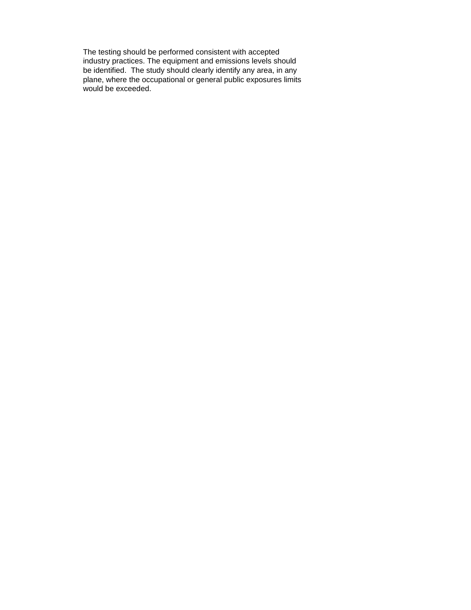The testing should be performed consistent with accepted industry practices. The equipment and emissions levels should be identified. The study should clearly identify any area, in any plane, where the occupational or general public exposures limits would be exceeded.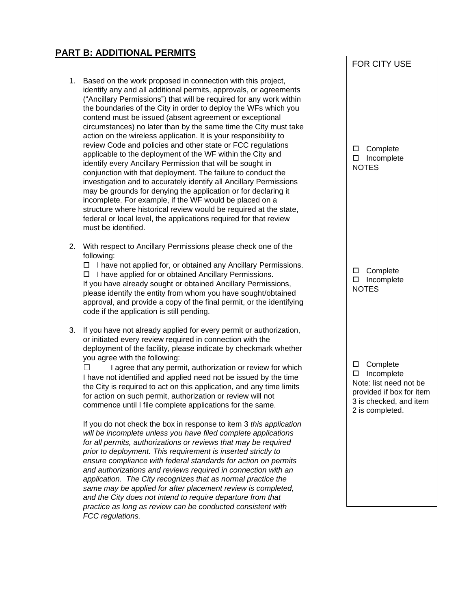## **PART B: ADDITIONAL PERMITS**

- 1. Based on the work proposed in connection with this project, identify any and all additional permits, approvals, or agreements ("Ancillary Permissions") that will be required for any work within the boundaries of the City in order to deploy the WFs which you contend must be issued (absent agreement or exceptional circumstances) no later than by the same time the City must take action on the wireless application. It is your responsibility to review Code and policies and other state or FCC regulations applicable to the deployment of the WF within the City and identify every Ancillary Permission that will be sought in conjunction with that deployment. The failure to conduct the investigation and to accurately identify all Ancillary Permissions may be grounds for denying the application or for declaring it incomplete. For example, if the WF would be placed on a structure where historical review would be required at the state. federal or local level, the applications required for that review must be identified.
- 2. With respect to Ancillary Permissions please check one of the following:

 $\Box$  I have not applied for, or obtained any Ancillary Permissions.  $\Box$  I have applied for or obtained Ancillary Permissions. If you have already sought or obtained Ancillary Permissions, please identify the entity from whom you have sought/obtained approval, and provide a copy of the final permit, or the identifying code if the application is still pending.

3. If you have not already applied for every permit or authorization, or initiated every review required in connection with the deployment of the facility, please indicate by checkmark whether you agree with the following:

 $\Box$  I agree that any permit, authorization or review for which I have not identified and applied need not be issued by the time the City is required to act on this application, and any time limits for action on such permit, authorization or review will not commence until I file complete applications for the same.

If you do not check the box in response to item 3 *this application will be incomplete unless you have filed complete applications for all permits, authorizations or reviews that may be required prior to deployment. This requirement is inserted strictly to ensure compliance with federal standards for action on permits and authorizations and reviews required in connection with an application. The City recognizes that as normal practice the same may be applied for after placement review is completed, and the City does not intend to require departure from that practice as long as review can be conducted consistent with FCC regulations.* 

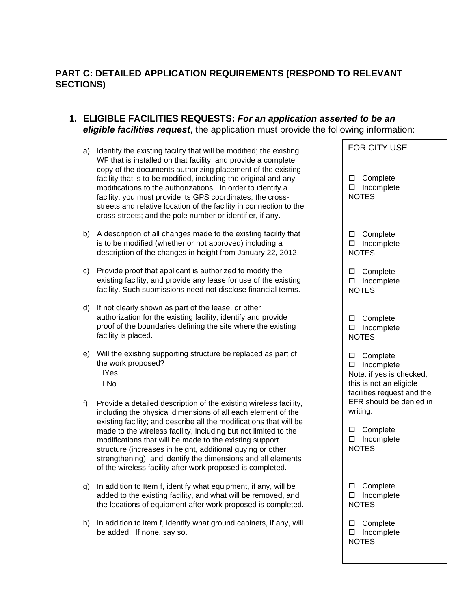## **PART C: DETAILED APPLICATION REQUIREMENTS (RESPOND TO RELEVANT SECTIONS)**

### **1. ELIGIBLE FACILITIES REQUESTS:** *For an application asserted to be an eligible facilities request*, the application must provide the following information:

- a) Identify the existing facility that will be modified; the existing WF that is installed on that facility; and provide a complete copy of the documents authorizing placement of the existing facility that is to be modified, including the original and any modifications to the authorizations. In order to identify a facility, you must provide its GPS coordinates; the crossstreets and relative location of the facility in connection to the cross-streets; and the pole number or identifier, if any.
- b) A description of all changes made to the existing facility that is to be modified (whether or not approved) including a description of the changes in height from January 22, 2012.
- c) Provide proof that applicant is authorized to modify the existing facility, and provide any lease for use of the existing facility. Such submissions need not disclose financial terms.
- d) If not clearly shown as part of the lease, or other authorization for the existing facility, identify and provide proof of the boundaries defining the site where the existing facility is placed.
- e) Will the existing supporting structure be replaced as part of the work proposed? ☐Yes  $\Box$  No
- f) Provide a detailed description of the existing wireless facility, including the physical dimensions of all each element of the existing facility; and describe all the modifications that will be made to the wireless facility, including but not limited to the modifications that will be made to the existing support structure (increases in height, additional guying or other strengthening), and identify the dimensions and all elements of the wireless facility after work proposed is completed.
- g) In addition to Item f, identify what equipment, if any, will be added to the existing facility, and what will be removed, and the locations of equipment after work proposed is completed.
- h) In addition to item f, identify what ground cabinets, if any, will be added. If none, say so.

| FOR CITY USE                                                                                                                                                   |
|----------------------------------------------------------------------------------------------------------------------------------------------------------------|
| □ Complete<br>$\Box$ Incomplete<br><b>NOTES</b>                                                                                                                |
| □ Complete<br>$\square$ Incomplete<br><b>NOTES</b>                                                                                                             |
| □ Complete<br>□ Incomplete<br><b>NOTES</b>                                                                                                                     |
| □ Complete<br>□ Incomplete<br><b>NOTES</b>                                                                                                                     |
| □ Complete<br>$\square$ Incomplete<br>Note: if yes is checked,<br>this is not an eligible<br>facilities request and the<br>EFR should be denied in<br>writing. |
| $\Box$ Complete<br>□ Incomplete<br><b>NOTES</b>                                                                                                                |
| $\sqcup$ Complete<br>$\Box$<br>Incomplete<br><b>NOTES</b>                                                                                                      |
| Complete<br>Incomplete<br>$\Box$<br><b>NOTES</b>                                                                                                               |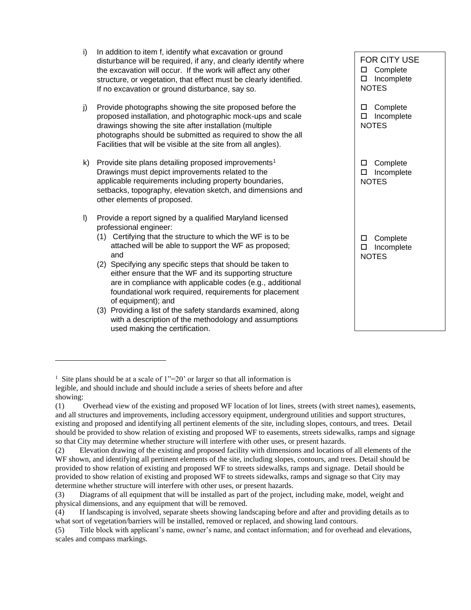i) In addition to item f, identify what excavation or ground disturbance will be required, if any, and clearly identify where the excavation will occur. If the work will affect any other structure, or vegetation, that effect must be clearly identified. If no excavation or ground disturbance, say so. j) Provide photographs showing the site proposed before the proposed installation, and photographic mock-ups and scale drawings showing the site after installation (multiple photographs should be submitted as required to show the all Facilities that will be visible at the site from all angles). k) Provide site plans detailing proposed improvements<sup>1</sup> Drawings must depict improvements related to the applicable requirements including property boundaries, setbacks, topography, elevation sketch, and dimensions and other elements of proposed. l) Provide a report signed by a qualified Maryland licensed professional engineer: (1) Certifying that the structure to which the WF is to be attached will be able to support the WF as proposed; and (2) Specifying any specific steps that should be taken to either ensure that the WF and its supporting structure are in compliance with applicable codes (e.g., additional foundational work required, requirements for placement of equipment); and (3) Providing a list of the safety standards examined, along with a description of the methodology and assumptions FOR CITY USE □ Complete □ Incomplete NOTES □ Complete □ Incomplete **NOTES** □ Complete □ Incomplete **NOTES** □ Complete □ Incomplete **NOTES** 

used making the certification.

<sup>&</sup>lt;sup>1</sup> Site plans should be at a scale of  $1"=20'$  or larger so that all information is legible, and should include and should include a series of sheets before and after showing:

<sup>(1)</sup> Overhead view of the existing and proposed WF location of lot lines, streets (with street names), easements, and all structures and improvements, including accessory equipment, underground utilities and support structures, existing and proposed and identifying all pertinent elements of the site, including slopes, contours, and trees. Detail should be provided to show relation of existing and proposed WF to easements, streets sidewalks, ramps and signage so that City may determine whether structure will interfere with other uses, or present hazards.

<sup>(2)</sup> Elevation drawing of the existing and proposed facility with dimensions and locations of all elements of the WF shown, and identifying all pertinent elements of the site, including slopes, contours, and trees. Detail should be provided to show relation of existing and proposed WF to streets sidewalks, ramps and signage. Detail should be provided to show relation of existing and proposed WF to streets sidewalks, ramps and signage so that City may determine whether structure will interfere with other uses, or present hazards.

<sup>(3)</sup> Diagrams of all equipment that will be installed as part of the project, including make, model, weight and physical dimensions, and any equipment that will be removed.

<sup>(4)</sup> If landscaping is involved, separate sheets showing landscaping before and after and providing details as to what sort of vegetation/barriers will be installed, removed or replaced, and showing land contours.

<sup>(5)</sup> Title block with applicant's name, owner's name, and contact information; and for overhead and elevations, scales and compass markings.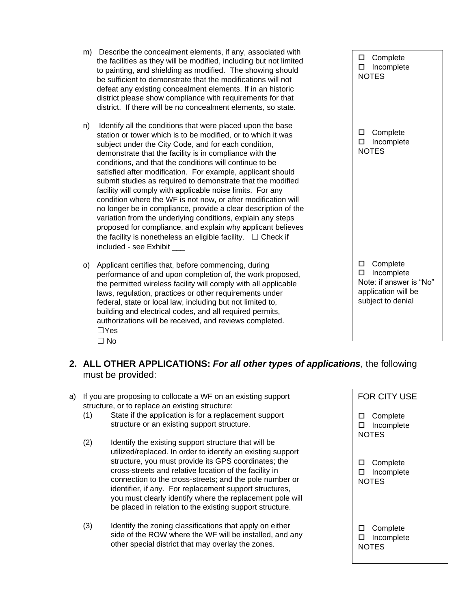- m) Describe the concealment elements, if any, associated with the facilities as they will be modified, including but not limited to painting, and shielding as modified. The showing should be sufficient to demonstrate that the modifications will not defeat any existing concealment elements. If in an historic district please show compliance with requirements for that district. If there will be no concealment elements, so state.
- n) Identify all the conditions that were placed upon the base station or tower which is to be modified, or to which it was subject under the City Code, and for each condition, demonstrate that the facility is in compliance with the conditions, and that the conditions will continue to be satisfied after modification. For example, applicant should submit studies as required to demonstrate that the modified facility will comply with applicable noise limits. For any condition where the WF is not now, or after modification will no longer be in compliance, provide a clear description of the variation from the underlying conditions, explain any steps proposed for compliance, and explain why applicant believes the facility is nonetheless an eligible facility.  $\Box$  Check if included - see Exhibit
- o) Applicant certifies that, before commencing, during performance of and upon completion of, the work proposed, the permitted wireless facility will comply with all applicable laws, regulation, practices or other requirements under federal, state or local law, including but not limited to, building and electrical codes, and all required permits, authorizations will be received, and reviews completed. ☐Yes  $\Box$  No

□ Complete □ Incomplete NOTES □ Complete □ Incomplete NOTES □ Complete □ Incomplete Note: if answer is "No" application will be subject to denial

- **2. ALL OTHER APPLICATIONS:** *For all other types of applications*, the following must be provided:
- a) If you are proposing to collocate a WF on an existing support structure, or to replace an existing structure:
	- (1) State if the application is for a replacement support structure or an existing support structure.
	- (2) Identify the existing support structure that will be utilized/replaced. In order to identify an existing support structure, you must provide its GPS coordinates; the cross-streets and relative location of the facility in connection to the cross-streets; and the pole number or identifier, if any. For replacement support structures, you must clearly identify where the replacement pole will be placed in relation to the existing support structure.
	- (3) Identify the zoning classifications that apply on either side of the ROW where the WF will be installed, and any other special district that may overlay the zones.

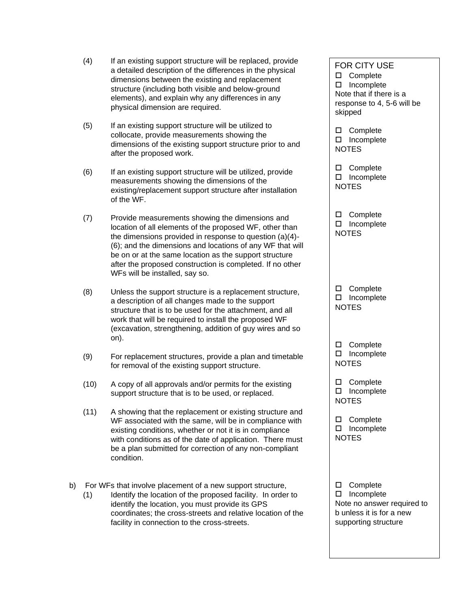- (4) If an existing support structure will be replaced, provide a detailed description of the differences in the physical dimensions between the existing and replacement structure (including both visible and below-ground elements), and explain why any differences in any physical dimension are required.
- (5) If an existing support structure will be utilized to collocate, provide measurements showing the dimensions of the existing support structure prior to and after the proposed work.
- (6) If an existing support structure will be utilized, provide measurements showing the dimensions of the existing/replacement support structure after installation of the WF.
- (7) Provide measurements showing the dimensions and location of all elements of the proposed WF, other than the dimensions provided in response to question (a)(4)- (6); and the dimensions and locations of any WF that will be on or at the same location as the support structure after the proposed construction is completed. If no other WFs will be installed, say so.
- (8) Unless the support structure is a replacement structure, a description of all changes made to the support structure that is to be used for the attachment, and all work that will be required to install the proposed WF (excavation, strengthening, addition of guy wires and so on).
- (9) For replacement structures, provide a plan and timetable for removal of the existing support structure.
- (10) A copy of all approvals and/or permits for the existing support structure that is to be used, or replaced.
- (11) A showing that the replacement or existing structure and WF associated with the same, will be in compliance with existing conditions, whether or not it is in compliance with conditions as of the date of application. There must be a plan submitted for correction of any non-compliant condition.
- b) For WFs that involve placement of a new support structure,
	- (1) Identify the location of the proposed facility. In order to identify the location, you must provide its GPS coordinates; the cross-streets and relative location of the facility in connection to the cross-streets.

FOR CITY USE □ Complete □ Incomplete Note that if there is a response to 4, 5-6 will be skipped □ Complete □ Incomplete **NOTES** 

□ Complete □ Incomplete NOTES

□ Complete □ Incomplete NOTES

□ Complete □ Incomplete NOTES

□ Complete □ Incomplete NOTES

□ Complete □ Incomplete NOTES

□ Complete □ Incomplete NOTES

□ Complete □ Incomplete Note no answer required to b unless it is for a new supporting structure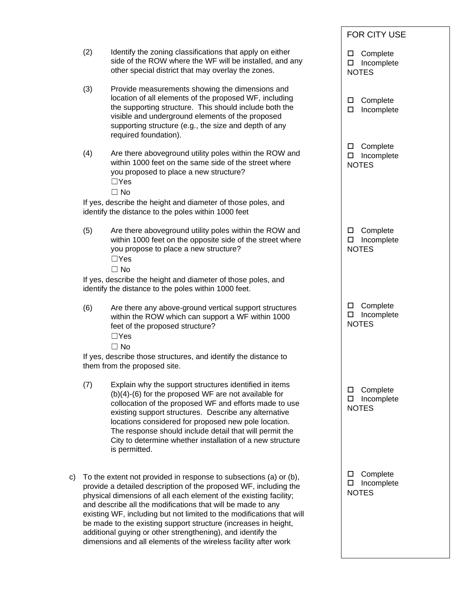|    |     |                                                                                                                                                                                                                                                                                                                                                                                                                                                                                                                                                         |             | <b>FOR CITY USE</b>                    |  |
|----|-----|---------------------------------------------------------------------------------------------------------------------------------------------------------------------------------------------------------------------------------------------------------------------------------------------------------------------------------------------------------------------------------------------------------------------------------------------------------------------------------------------------------------------------------------------------------|-------------|----------------------------------------|--|
|    | (2) | Identify the zoning classifications that apply on either<br>side of the ROW where the WF will be installed, and any<br>other special district that may overlay the zones.                                                                                                                                                                                                                                                                                                                                                                               | □<br>□      | Complete<br>Incomplete<br><b>NOTES</b> |  |
|    | (3) | Provide measurements showing the dimensions and<br>location of all elements of the proposed WF, including<br>the supporting structure. This should include both the<br>visible and underground elements of the proposed<br>supporting structure (e.g., the size and depth of any<br>required foundation).                                                                                                                                                                                                                                               | □<br>$\Box$ | Complete<br>Incomplete                 |  |
|    | (4) | Are there aboveground utility poles within the ROW and<br>within 1000 feet on the same side of the street where<br>you proposed to place a new structure?<br>$\Box$ Yes                                                                                                                                                                                                                                                                                                                                                                                 | □<br>$\Box$ | Complete<br>Incomplete<br><b>NOTES</b> |  |
|    |     | $\Box$ No<br>If yes, describe the height and diameter of those poles, and<br>identify the distance to the poles within 1000 feet                                                                                                                                                                                                                                                                                                                                                                                                                        |             |                                        |  |
|    | (5) | Are there aboveground utility poles within the ROW and<br>within 1000 feet on the opposite side of the street where<br>you propose to place a new structure?<br>$\Box$ Yes<br>$\Box$ No                                                                                                                                                                                                                                                                                                                                                                 | □<br>□      | Complete<br>Incomplete<br><b>NOTES</b> |  |
|    |     | If yes, describe the height and diameter of those poles, and<br>identify the distance to the poles within 1000 feet.                                                                                                                                                                                                                                                                                                                                                                                                                                    |             |                                        |  |
|    | (6) | Are there any above-ground vertical support structures<br>within the ROW which can support a WF within 1000<br>feet of the proposed structure?<br>$\Box$ Yes<br>$\Box$ No                                                                                                                                                                                                                                                                                                                                                                               | □<br>□      | Complete<br>Incomplete<br><b>NOTES</b> |  |
|    |     | If yes, describe those structures, and identify the distance to<br>them from the proposed site.                                                                                                                                                                                                                                                                                                                                                                                                                                                         |             |                                        |  |
|    | (7) | Explain why the support structures identified in items<br>$(b)(4)-(6)$ for the proposed WF are not available for<br>collocation of the proposed WF and efforts made to use<br>existing support structures. Describe any alternative<br>locations considered for proposed new pole location.<br>The response should include detail that will permit the<br>City to determine whether installation of a new structure<br>is permitted.                                                                                                                    | □<br>□      | Complete<br>Incomplete<br><b>NOTES</b> |  |
| c) |     | To the extent not provided in response to subsections (a) or (b),<br>provide a detailed description of the proposed WF, including the<br>physical dimensions of all each element of the existing facility;<br>and describe all the modifications that will be made to any<br>existing WF, including but not limited to the modifications that will<br>be made to the existing support structure (increases in height,<br>additional guying or other strengthening), and identify the<br>dimensions and all elements of the wireless facility after work | □<br>□      | Complete<br>Incomplete<br><b>NOTES</b> |  |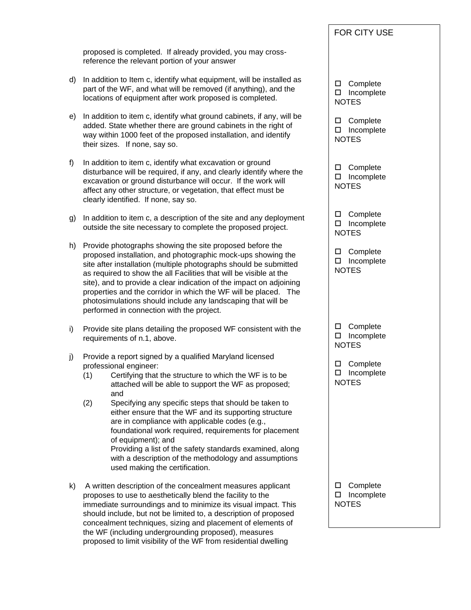proposed is completed. If already provided, you may crossreference the relevant portion of your answer

- d) In addition to Item c, identify what equipment, will be installed as part of the WF, and what will be removed (if anything), and the locations of equipment after work proposed is completed.
- e) In addition to item c, identify what ground cabinets, if any, will be added. State whether there are ground cabinets in the right of way within 1000 feet of the proposed installation, and identify their sizes. If none, say so.
- f) In addition to item c, identify what excavation or ground disturbance will be required, if any, and clearly identify where the excavation or ground disturbance will occur. If the work will affect any other structure, or vegetation, that effect must be clearly identified. If none, say so.
- g) In addition to item c, a description of the site and any deployment outside the site necessary to complete the proposed project.
- h) Provide photographs showing the site proposed before the proposed installation, and photographic mock-ups showing the site after installation (multiple photographs should be submitted as required to show the all Facilities that will be visible at the site), and to provide a clear indication of the impact on adjoining properties and the corridor in which the WF will be placed. The photosimulations should include any landscaping that will be performed in connection with the project.
- i) Provide site plans detailing the proposed WF consistent with the requirements of n.1, above.
- j) Provide a report signed by a qualified Maryland licensed professional engineer:
	- (1) Certifying that the structure to which the WF is to be attached will be able to support the WF as proposed; and
	- (2) Specifying any specific steps that should be taken to either ensure that the WF and its supporting structure are in compliance with applicable codes (e.g., foundational work required, requirements for placement of equipment); and Providing a list of the safety standards examined, along with a description of the methodology and assumptions used making the certification.
- k) A written description of the concealment measures applicant proposes to use to aesthetically blend the facility to the immediate surroundings and to minimize its visual impact. This should include, but not be limited to, a description of proposed concealment techniques, sizing and placement of elements of the WF (including undergrounding proposed), measures proposed to limit visibility of the WF from residential dwelling

## FOR CITY USE

□ Complete □ Incomplete **NOTES** 

□ Complete □ Incomplete NOTES

□ Complete □ Incomplete NOTES

□ Complete □ Incomplete NOTES

□ Complete □ Incomplete NOTES

□ Complete □ Incomplete NOTES

□ Complete □ Incomplete NOTES

□ Complete □ Incomplete NOTES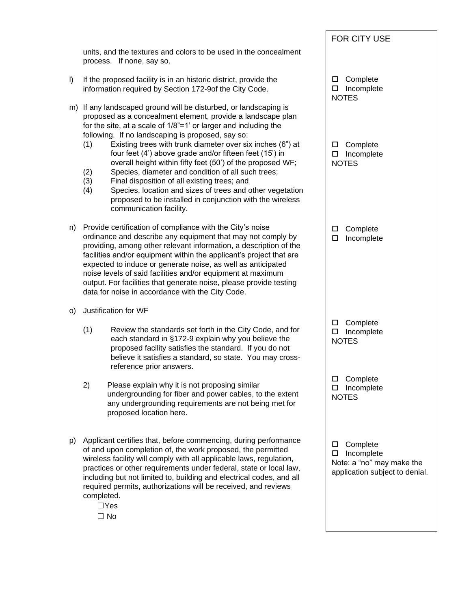|         |                                                                                                                                                                                                                                                                                                                                                                                                                                                                                                                                                                                                                                                                                                                                    | FOR CITY USE                                                                                    |
|---------|------------------------------------------------------------------------------------------------------------------------------------------------------------------------------------------------------------------------------------------------------------------------------------------------------------------------------------------------------------------------------------------------------------------------------------------------------------------------------------------------------------------------------------------------------------------------------------------------------------------------------------------------------------------------------------------------------------------------------------|-------------------------------------------------------------------------------------------------|
|         | units, and the textures and colors to be used in the concealment<br>process. If none, say so.                                                                                                                                                                                                                                                                                                                                                                                                                                                                                                                                                                                                                                      |                                                                                                 |
| $\vert$ | If the proposed facility is in an historic district, provide the<br>information required by Section 172-9of the City Code.                                                                                                                                                                                                                                                                                                                                                                                                                                                                                                                                                                                                         | Complete<br>□<br>□<br>Incomplete<br><b>NOTES</b>                                                |
| m)      | If any landscaped ground will be disturbed, or landscaping is<br>proposed as a concealment element, provide a landscape plan<br>for the site, at a scale of 1/8"=1' or larger and including the<br>following. If no landscaping is proposed, say so:<br>Existing trees with trunk diameter over six inches (6") at<br>(1)<br>four feet (4') above grade and/or fifteen feet (15') in<br>overall height within fifty feet (50') of the proposed WF;<br>(2)<br>Species, diameter and condition of all such trees;<br>(3)<br>Final disposition of all existing trees; and<br>Species, location and sizes of trees and other vegetation<br>(4)<br>proposed to be installed in conjunction with the wireless<br>communication facility. | Complete<br>□<br>$\square$ Incomplete<br><b>NOTES</b>                                           |
| n)      | Provide certification of compliance with the City's noise<br>ordinance and describe any equipment that may not comply by<br>providing, among other relevant information, a description of the<br>facilities and/or equipment within the applicant's project that are<br>expected to induce or generate noise, as well as anticipated<br>noise levels of said facilities and/or equipment at maximum<br>output. For facilities that generate noise, please provide testing<br>data for noise in accordance with the City Code.                                                                                                                                                                                                      | Complete<br>□<br>Incomplete<br>$\Box$                                                           |
| O)      | Justification for WF                                                                                                                                                                                                                                                                                                                                                                                                                                                                                                                                                                                                                                                                                                               |                                                                                                 |
|         | (1)<br>Review the standards set forth in the City Code, and for<br>each standard in §172-9 explain why you believe the<br>proposed facility satisfies the standard. If you do not<br>believe it satisfies a standard, so state. You may cross-<br>reference prior answers.                                                                                                                                                                                                                                                                                                                                                                                                                                                         | Complete<br>□<br>Incomplete<br>□<br><b>NOTES</b>                                                |
|         | 2)<br>Please explain why it is not proposing similar<br>undergrounding for fiber and power cables, to the extent<br>any undergrounding requirements are not being met for<br>proposed location here.                                                                                                                                                                                                                                                                                                                                                                                                                                                                                                                               | Complete<br>□<br>Incomplete<br>□<br><b>NOTES</b>                                                |
| p)      | Applicant certifies that, before commencing, during performance<br>of and upon completion of, the work proposed, the permitted<br>wireless facility will comply with all applicable laws, regulation,<br>practices or other requirements under federal, state or local law,<br>including but not limited to, building and electrical codes, and all<br>required permits, authorizations will be received, and reviews<br>completed.<br>$\Box$ Yes<br>$\Box$ No                                                                                                                                                                                                                                                                     | Complete<br>□<br>Incomplete<br>□<br>Note: a "no" may make the<br>application subject to denial. |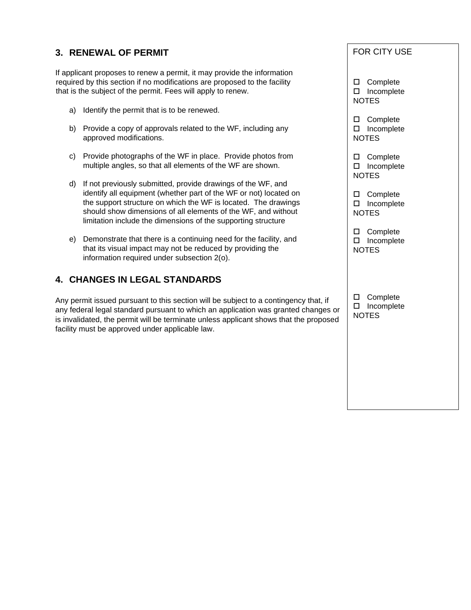## **3. RENEWAL OF PERMIT**

If applicant proposes to renew a permit, it may provide the information required by this section if no modifications are proposed to the facility that is the subject of the permit. Fees will apply to renew.

- a) Identify the permit that is to be renewed.
- b) Provide a copy of approvals related to the WF, including any approved modifications.
- c) Provide photographs of the WF in place. Provide photos from multiple angles, so that all elements of the WF are shown.
- d) If not previously submitted, provide drawings of the WF, and identify all equipment (whether part of the WF or not) located on the support structure on which the WF is located. The drawings should show dimensions of all elements of the WF, and without limitation include the dimensions of the supporting structure
- e) Demonstrate that there is a continuing need for the facility, and that its visual impact may not be reduced by providing the information required under subsection 2(o).

## **4. CHANGES IN LEGAL STANDARDS**

Any permit issued pursuant to this section will be subject to a contingency that, if any federal legal standard pursuant to which an application was granted changes or is invalidated, the permit will be terminate unless applicant shows that the proposed facility must be approved under applicable law.

#### FOR CITY USE

□ Complete □ Incomplete **NOTES** 

□ Complete □ Incomplete NOTES

□ Complete □ Incomplete NOTES

□ Complete □ Incomplete NOTES

□ Complete □ Incomplete **NOTES** 

□ Complete □ Incomplete NOTES